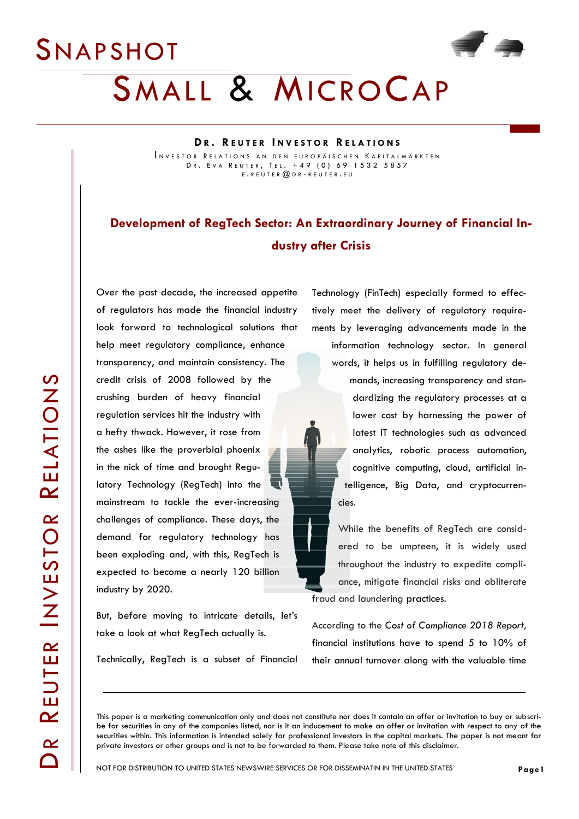#### **D R . R E U T E R I N V E S T O R R E L A T I O N S**

INVESTOR RELATIONS AN DEN EUROPÄISCHEN KAPITALMÄRKTEN DR. EVA REUTER, TEL. +49 (0) 69 1532 5857 E . R E U T E R @ D R - R E U T E R . E U

### **Development of RegTech Sector: An Extraordinary Journey of Financial Industry after Crisis**

Over the past decade, the increased appetite of regulators has made the financial industry look forward to technological solutions that help meet regulatory compliance, enhance transparency, and maintain consistency. The credit crisis of 2008 followed by the crushing burden of heavy financial regulation services hit the industry with a hefty thwack. However, it rose from the ashes like the proverbial phoenix in the nick of time and brought Regulatory Technology (RegTech) into the mainstream to tackle the ever-increasing challenges of compliance. These days, the demand for regulatory technology has been exploding and, with this, RegTech is expected to become a nearly 120 billion industry by 2020.

But, before moving to intricate details, let's take a look at what RegTech actually is.

Technically, RegTech is a subset of Financial

Technology (FinTech) especially formed to effectively meet the delivery of regulatory requirements by leveraging advancements made in the information technology sector. In general

words, it helps us in fulfilling regulatory demands, increasing transparency and standardizing the regulatory processes at a lower cost by harnessing the power of latest IT technologies such as advanced analytics, robotic process automation, cognitive computing, cloud, artificial intelligence, Big Data, and cryptocurrencies.

While the benefits of RegTech are considered to be umpteen, it is widely used throughout the industry to expedite compliance, mitigate financial risks and obliterate fraud and laundering practices.

According to the *Cost of Compliance 2018 Report,* financial institutions have to spend 5 to 10% of their annual turnover along with the valuable time

This paper is a marketing communication only and does not constitute nor does it contain an offer or invitation to buy or subscribe for securities in any of the companies listed, nor is it an inducement to make an offer or invitation with respect to any of the securities within. This information is intended solely for professional investors in the capital markets. The paper is not meant for private investors or other groups and is not to be forwarded to them. Please take note of this disclaimer.

**Page1**

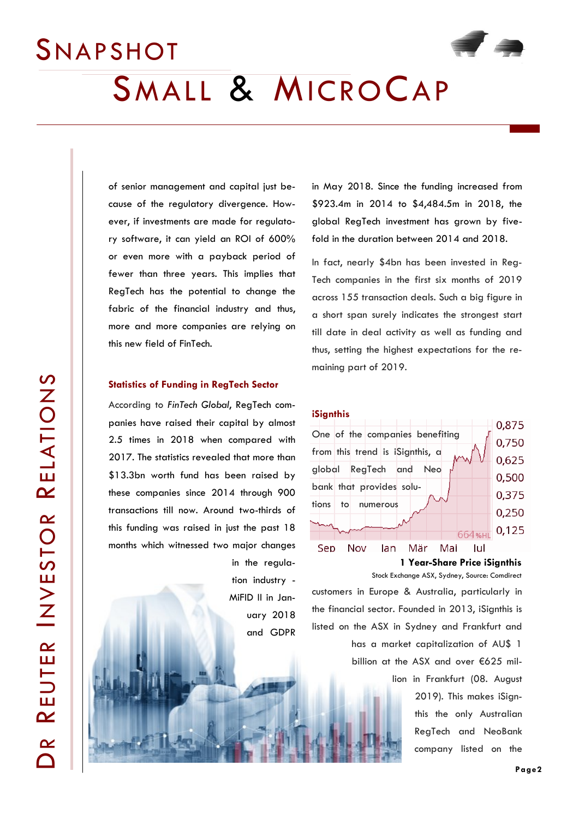

of senior management and capital just because of the regulatory divergence. However, if investments are made for regulatory software, it can yield an ROI of 600% or even more with a payback period of fewer than three years. This implies that RegTech has the potential to change the fabric of the financial industry and thus, more and more companies are relying on this new field of FinTech.

#### **Statistics of Funding in RegTech Sector**

According to *FinTech Global*, RegTech companies have raised their capital by almost 2.5 times in 2018 when compared with 2017. The statistics revealed that more than \$13.3bn worth fund has been raised by these companies since 2014 through 900 transactions till now. Around two-thirds of this funding was raised in just the past 18 months which witnessed two major changes

> in the regulation industry - MiFID II in January 2018 and GDPR

in May 2018. Since the funding increased from \$923.4m in 2014 to \$4,484.5m in 2018, the global RegTech investment has grown by fivefold in the duration between 2014 and 2018.

In fact, nearly \$4bn has been invested in Reg-Tech companies in the first six months of 2019 across 155 transaction deals. Such a big figure in a short span surely indicates the strongest start till date in deal activity as well as funding and thus, setting the highest expectations for the remaining part of 2019.





**1 Year-Share Price iSignthis**

customers in Europe & Australia, particularly in the financial sector. Founded in 2013, iSignthis is listed on the ASX in Sydney and Frankfurt and has a market capitalization of AU\$ 1 Stock Exchange ASX, Sydney, Source: Comdirect

billion at the ASX and over €625 mil-

lion in Frankfurt (08. August 2019). This makes iSignthis the only Australian RegTech and NeoBank company listed on the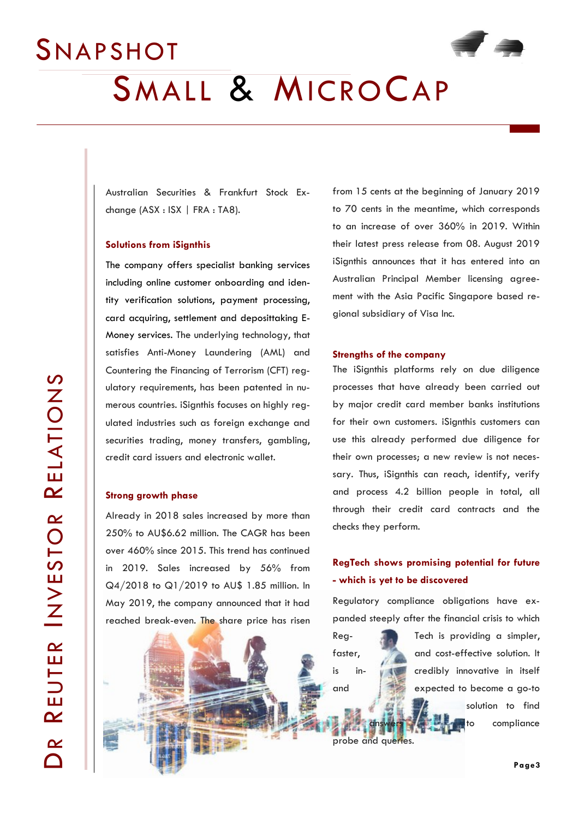

Australian Securities & Frankfurt Stock Exchange (ASX : ISX | FRA : TA8).

#### **Solutions from iSignthis**

The company offers specialist banking services including online customer onboarding and identity verification solutions, payment processing, card acquiring, settlement and deposittaking E-Money services. The underlying technology, that satisfies Anti-Money Laundering (AML) and Countering the Financing of Terrorism (CFT) regulatory requirements, has been patented in numerous countries. iSignthis focuses on highly regulated industries such as foreign exchange and securities trading, money transfers, gambling, credit card issuers and electronic wallet.

#### **Strong growth phase**

Already in 2018 sales increased by more than 250% to AU\$6.62 million. The CAGR has been over 460% since 2015. This trend has continued in 2019. Sales increased by 56% from Q4/2018 to Q1/2019 to AU\$ 1.85 million. In May 2019, the company announced that it had reached break-even. The share price has risen

from 15 cents at the beginning of January 2019 to 70 cents in the meantime, which corresponds to an increase of over 360% in 2019. Within their latest press release from 08. August 2019 iSignthis announces that it has entered into an Australian Principal Member licensing agreement with the Asia Pacific Singapore based regional subsidiary of Visa Inc.

#### **Strengths of the company**

The iSignthis platforms rely on due diligence processes that have already been carried out by major credit card member banks institutions for their own customers. iSignthis customers can use this already performed due diligence for their own processes; a new review is not necessary. Thus, iSignthis can reach, identify, verify and process 4.2 billion people in total, all through their credit card contracts and the checks they perform.

#### **RegTech shows promising potential for future - which is yet to be discovered**

Regulatory compliance obligations have expanded steeply after the financial crisis to which

Reg- Tech is providing a simpler, faster, and cost-effective solution. It is in- w credibly innovative in itself and expected to become a go-to solution to find to compliance

probe and queries.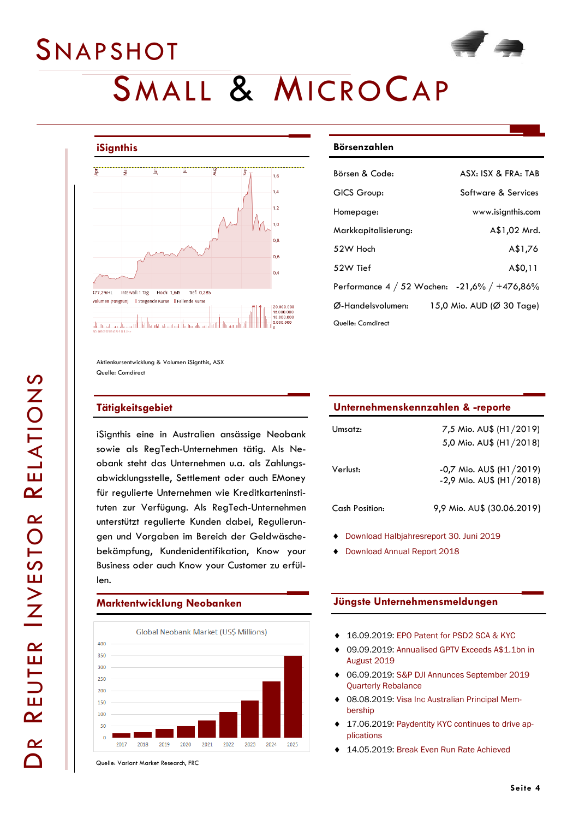# SMALL & MICROCAP



 $\boldsymbol{\alpha}$ REUTER INVESTOR REUTER INVESTOR RELATIONS

 $\boldsymbol{\mathsf{\Omega}}$ 

### **iSignthis**

**SNAPSHOT** 



Aktienkursentwicklung & Volumen iSignthis, ASX Quelle: Comdirect

#### **Tätigkeitsgebiet**

iSignthis eine in Australien ansässige Neobank sowie als RegTech-Unternehmen tätig. Als Neobank steht das Unternehmen u.a. als Zahlungsabwicklungsstelle, Settlement oder auch EMoney für regulierte Unternehmen wie Kreditkarteninstituten zur Verfügung. Als RegTech-Unternehmen unterstützt regulierte Kunden dabei, Regulierungen und Vorgaben im Bereich der Geldwäschebekämpfung, Kundenidentifikation, Know your Business oder auch Know your Customer zu erfüllen.

#### **Marktentwicklung Neobanken**



Quelle: Variant Market Research, FRC

#### **Börsenzahlen**

| Börsen & Code:       | ASX: ISX & FRA: TAB                          |
|----------------------|----------------------------------------------|
| GICS Group:          | Software & Services                          |
| Homepage:            | www.isignthis.com                            |
| Markkapitalisierung: | A\$1,02 Mrd.                                 |
| 52W Hoch             | A\$1,76                                      |
| 52W Tief             | A\$0,11                                      |
|                      | Performance 4 / 52 Wochen: -21,6% / +476,86% |
| Ø-Handelsvolumen:    | 15,0 Mio. AUD (Ø 30 Tage)                    |
| Quelle: Comdirect    |                                              |

| Unternehmenskennzahlen & -reporte |                         |  |
|-----------------------------------|-------------------------|--|
| Umsatz:                           | 7,5 Mio. AU\$ (H1/2019) |  |

|                | 5,0 Mio. AU\$ (H1/2018)                                  |
|----------------|----------------------------------------------------------|
| Verlust:       | $-0,7$ Mio. AU\$ (H1/2019)<br>$-2,9$ Mio. AU\$ (H1/2018) |
| Cash Position: | 9,9 Mio. AU\$ (30.06.2019)                               |

- [Download Halbjahresreport 30. Juni 2019](https://www.asx.com.au/asxpdf/20190828/pdf/447y76g3p4tr2g.pdf)
- ◆ [Download Annual Report 2018](https://www.asx.com.au/asxpdf/20190411/pdf/4447nggc3tqcs8.pdf)

#### **Jüngste Unternehmensmeldungen**

- 16.09.2019: [EPO Patent for PSD2 SCA & KYC](https://www.asx.com.au/asxpdf/20190916/pdf/448k45g6bwgxrn.pdf)
- 09.09.2019: [Annualised GPTV Exceeds A\\$1.1bn in](https://www.asx.com.au/asxpdf/20190909/pdf/448bptdbrnf0bn.pdf)  [August 2019](https://www.asx.com.au/asxpdf/20190909/pdf/448bptdbrnf0bn.pdf)
- 06.09.2019: [S&P DJI Annunces September 2019](https://www.asx.com.au/asxpdf/20190906/pdf/4488xzbz1d6x4g.pdf)  [Quarterly Rebalance](https://www.asx.com.au/asxpdf/20190906/pdf/4488xzbz1d6x4g.pdf)
- 08.08.2019: [Visa Inc Australian Principal Mem](https://www.asx.com.au/asxpdf/20190808/pdf/4479t1w4w6lksh.pdf)[bership](https://www.asx.com.au/asxpdf/20190808/pdf/4479t1w4w6lksh.pdf)
- 17.06.2019: [Paydentity KYC continues to drive ap](https://www.asx.com.au/asxpdf/20190617/pdf/445wyblnh6yz83.pdf)[plications](https://www.asx.com.au/asxpdf/20190617/pdf/445wyblnh6yz83.pdf)
- 14.05.2019: [Break Even Run Rate Achieved](https://www.asx.com.au/asxpdf/20190514/pdf/4452gqbfxs8cs0.pdf)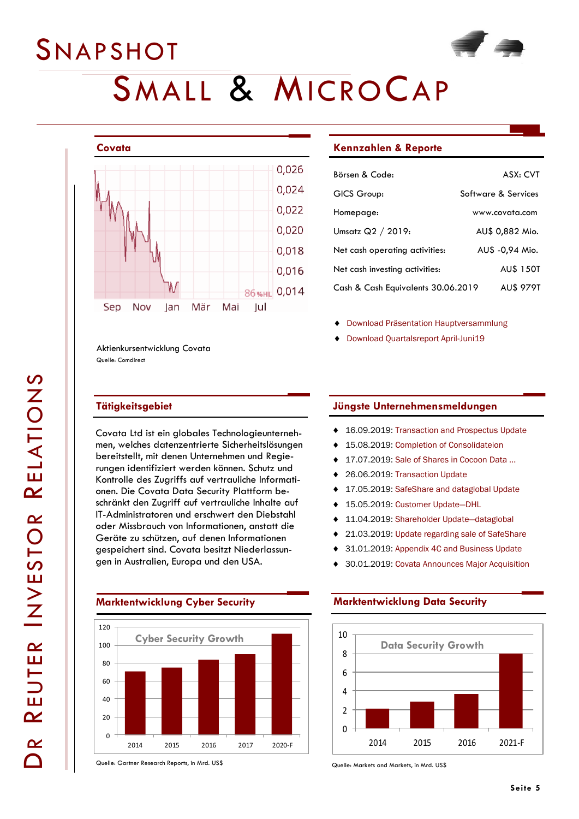

Aktienkursentwicklung Covata Quelle: Comdirect

#### **Tätigkeitsgebiet**

Covata Ltd ist ein globales Technologieunternehmen, welches datenzentrierte Sicherheitslösungen bereitstellt, mit denen Unternehmen und Regierungen identifiziert werden können. Schutz und Kontrolle des Zugriffs auf vertrauliche Informationen. Die Covata Data Security Plattform beschränkt den Zugriff auf vertrauliche Inhalte auf IT-Administratoren und erschwert den Diebstahl oder Missbrauch von Informationen, anstatt die Geräte zu schützen, auf denen Informationen gespeichert sind. Covata besitzt Niederlassungen in Australien, Europa und den USA.



Quelle: Gartner Research Reports, in Mrd. US\$

#### **Kennzahlen & Reporte**

| Börsen & Code:                     | ASX: CVT            |
|------------------------------------|---------------------|
| GICS Group:                        | Software & Services |
| Homepage:                          | www.covata.com      |
| Umsatz $Q2 / 2019$ :               | AU\$ 0,882 Mio.     |
| Net cash operating activities:     | AU\$ -0,94 Mio.     |
| Net cash investing activities:     | <b>AU\$ 150T</b>    |
| Cash & Cash Equivalents 30.06.2019 | <b>AUS 979T</b>     |

- [Download Präsentation Hauptversammlung](https://www.asx.com.au/asxpdf/20190930/pdf/4490g2h3lj934r.pdf)
- ◆ [Download Quartalsreport April-Juni19](https://www.asx.com.au/asxpdf/20190718/pdf/446q5rkkt4g8c0.pdf)

#### **Jüngste Unternehmensmeldungen**

- ◆ 16.09.2019: [Transaction and Prospectus Update](https://www.asx.com.au/asxpdf/20190916/pdf/448k95g8jkjndg.pdf)
- 15.08.2019: [Completion of Consolidateion](https://www.asx.com.au/asxpdf/20190815/pdf/447hnyjtzv0b1h.pdf)
- 17.07.2019: [Sale of Shares in Cocoon Data ...](https://www.asx.com.au/asxpdf/20190717/pdf/446nx6xxtx20qz.pdf)
- 26.06.2019: [Transaction Update](https://www.asx.com.au/asxpdf/20190626/pdf/4464j120lznb0z.pdf)
- 17.05.2019: [SafeShare and dataglobal Update](https://www.asx.com.au/asxpdf/20190517/pdf/4455k5rtwzx8nw.pdf)
- 15.05.2019: [Customer Update](https://www.asx.com.au/asxpdf/20190515/pdf/4453fd7tprxkw5.pdf)—DHL
- 11.04.2019: [Shareholder Update](https://www.asx.com.au/asxpdf/20190411/pdf/44475vbxvjvy5y.pdf)—dataglobal
- 21.03.2019: [Update regarding sale of SafeShare](https://www.asx.com.au/asxpdf/20190321/pdf/443nvpsj0r4n4g.pdf)
- 31.01.2019: [Appendix 4C and Business Update](https://www.asx.com.au/asxpdf/20190131/pdf/4427dttpfm2hzd.pdf)
- 30.01.2019: [Covata Announces Major Acquisition](https://www.asx.com.au/asxpdf/20190130/pdf/4425p1t7rjr9y0.pdf)

#### **Marktentwicklung Data Security**



Quelle: Markets and Markets, in Mrd. US\$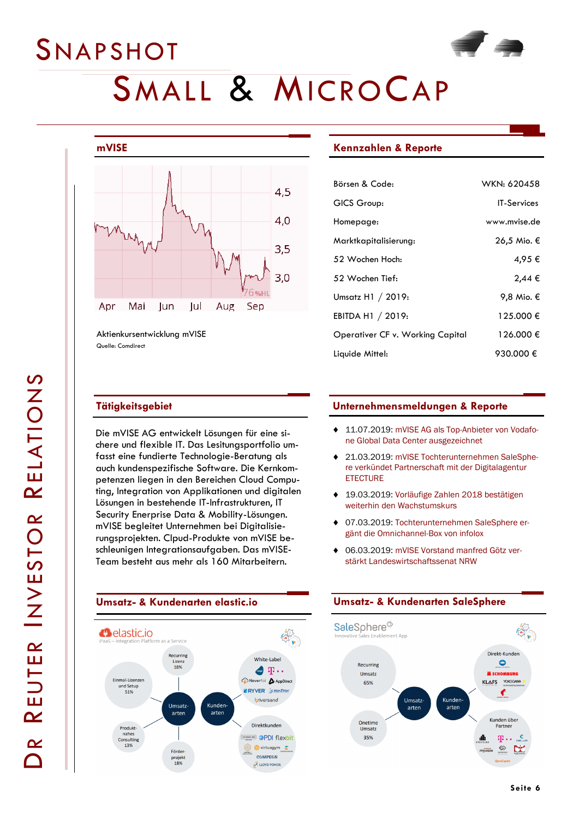### **SNAPSHOT**



# SMALL & MICROCAP



Aktienkursentwicklung mVISE Quelle: Comdirect

### **Tätigkeitsgebiet**

Die mVISE AG entwickelt Lösungen für eine sichere und flexible IT. Das Lesitungsportfolio umfasst eine fundierte Technologie-Beratung als auch kundenspezifische Software. Die Kernkompetenzen liegen in den Bereichen Cloud Computing, Integration von Applikationen und digitalen Lösungen in bestehende IT-Infrastrukturen, IT Security Enerprise Data & Mobility-Lösungen. mVISE begleitet Unternehmen bei Digitalisierungsprojekten. Clpud-Produkte von mVISE beschleunigen Integrationsaufgaben. Das mVISE-Team besteht aus mehr als 160 Mitarbeitern.



#### **Kennzahlen & Reporte**

| Börsen & Code:                   | WKN: 620458        |
|----------------------------------|--------------------|
| GICS Group:                      | <b>IT-Services</b> |
| Homepage:                        | www.mvise.de       |
| Marktkapitalisierung:            | 26,5 Mio. €        |
| 52 Wochen Hoch:                  | 4,95 €             |
| 52 Wochen Tief:                  | $2,44 \in$         |
| Umsatz H1 / 2019:                | 9,8 Mio. €         |
| EBITDA H1 / 2019:                | 125.000 €          |
| Operativer CF v. Working Capital | 126.000 €          |
| Liquide Mittel:                  | 930.000 €          |

#### **Unternehmensmeldungen & Reporte**

- ◆ 11.07.2019: [mVISE AG als Top-Anbieter von Vodafo](https://www.mvise.de/vodafone-global-data-center-auszeichnung)[ne Global Data Center ausgezeichnet](https://www.mvise.de/vodafone-global-data-center-auszeichnung)
- 21.03.2019: [mVISE Tochterunternehmen SaleSphe](https://www.mvise.de/partnerschaft-etecture)[re verkündet Partnerschaft mit der Digitalagentur](https://www.mvise.de/partnerschaft-etecture)  **[ETECTURE](https://www.mvise.de/partnerschaft-etecture)**
- 19.03.2019: [Vorläufige Zahlen 2018 bestätigen](https://www.mvise.de/category/investor-news/page/3)  [weiterhin den Wachstumskurs](https://www.mvise.de/category/investor-news/page/3)
- 07.03.2019: [Tochterunternehmen SaleSphere er](https://www.mvise.de/partnerschaft-mit-infolox)[gänt die Omnichannel-Box von infolox](https://www.mvise.de/partnerschaft-mit-infolox)
- 06.03.2019: [mVISE Vorstand manfred Götz ver](https://www.mvise.de/manfred_goetz_wirtschaftssenat)[stärkt Landeswirtschaftssenat NRW](https://www.mvise.de/manfred_goetz_wirtschaftssenat)

#### **Umsatz- & Kundenarten SaleSphere**